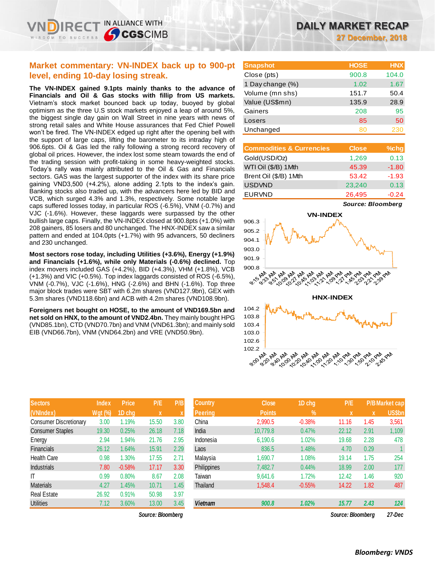**27 December, 2018**

# **Market commentary: VN-INDEX back up to 900-pt level, ending 10-day losing streak.**

IN ALLIANCE WITH

**SCGSCIMB** 

**The VN-INDEX gained 9.1pts mainly thanks to the advance of Financials and Oil & Gas stocks with fillip from US markets.**  Vietnam's stock market bounced back up today, buoyed by global optimism as the three U.S stock markets enjoyed a leap of around 5%, the biggest single day gain on Wall Street in nine years with news of strong retail sales and White House assurances that Fed Chief Powell won't be fired. The VN-INDEX edged up right after the opening bell with the support of large caps, lifting the barometer to its intraday high of 906.6pts. Oil & Gas led the rally following a strong record recovery of global oil prices. However, the index lost some steam towards the end of the trading session with profit-taking in some heavy-weighted stocks. Today's rally was mainly attributed to the Oil & Gas and Financials sectors. GAS was the largest supporter of the index with its share price gaining VND3,500 (+4.2%), alone adding 2.1pts to the index's gain. Banking stocks also traded up, with the advancers here led by BID and VCB, which surged 4.3% and 1.3%, respectively. Some notable large caps suffered losses today, in particular ROS (-6.5%), VNM (-0.7%) and VJC (-1.6%). However, these laggards were surpassed by the other bullish large caps. Finally, the VN-INDEX closed at 900.8pts (+1.0%) with 208 gainers, 85 losers and 80 unchanged. The HNX-INDEX saw a similar pattern and ended at 104.0pts (+1.7%) with 95 advancers, 50 decliners and 230 unchanged.

**Most sectors rose today, including Utilities (+3.6%), Energy (+1.9%) and Financials (+1.6%), while only Materials (-0.6%) declined.** Top index movers included GAS (+4.2%), BID (+4.3%), VHM (+1.8%), VCB (+1.3%) and VIC (+0.5%). Top index laggards consisted of ROS (-6.5%), VNM (-0.7%), VJC (-1.6%), HNG (-2.6%) and BHN (-1.6%). Top three major block trades were SBT with 6.2m shares (VND127.9bn), GEX with 5.3m shares (VND118.6bn) and ACB with 4.2m shares (VND108.9bn).

**Foreigners net bought on HOSE, to the amount of VND169.5bn and net sold on HNX, to the amount of VND2.4bn.** They mainly bought HPG (VND85.1bn), CTD (VND70.7bn) and VNM (VND61.3bn); and mainly sold EIB (VND66.7bn), VNM (VND64.2bn) and VRE (VND50.9bn).

| <b>Sectors</b>                | <b>Index</b> | <b>Price</b> | P/E   | P/B  |
|-------------------------------|--------------|--------------|-------|------|
| (VNIndex)                     | Wgt (%)      | 1D chg       | X     | X    |
| <b>Consumer Discretionary</b> | 3.00         | 1.19%        | 15.50 | 3.80 |
| <b>Consumer Staples</b>       | 19.30        | 0.25%        | 26.18 | 7.18 |
| Energy                        | 2.94         | 1.94%        | 21.76 | 2.95 |
| <b>Financials</b>             | 26.12        | 1.64%        | 15.91 | 2.29 |
| <b>Health Care</b>            | 0.98         | 1.30%        | 17.55 | 2.71 |
| <b>Industrials</b>            | 7.80         | $-0.58%$     | 17.17 | 3.30 |
| ıτ                            | 0.99         | 0.80%        | 8.67  | 2.08 |
| <b>Materials</b>              | 4.27         | 1.45%        | 10.71 | 1.45 |
| <b>Real Estate</b>            | 26.92        | 0.91%        | 50.98 | 3.97 |
| <b>Utilities</b>              | 7.12         | 3.60%        | 13.00 | 3.45 |

 $Source: Bloomberg$ 

| <b>Snapshot</b>  | <b>HOSE</b> | <b>HNX</b> |
|------------------|-------------|------------|
| Close (pts)      | 900.8       | 104.0      |
| 1 Day change (%) | 1.02        | 1.67       |
| Volume (mn shs)  | 151.7       | 50.4       |
| Value (US\$mn)   | 135.9       | 28.9       |
| Gainers          | 208         | 95         |
| Losers           | 85          | 50         |
| Unchanged        | 80          |            |

| <b>Commodities &amp; Currencies</b> | <b>Close</b> | $%$ chg |
|-------------------------------------|--------------|---------|
| Gold(USD/Oz)                        | 1,269        | 0.13    |
| WTI Oil (\$/B) 1 Mth                | 45.39        | $-1.80$ |
| Brent Oil (\$/B) 1Mth               | 53.42        | $-1.93$ |
| <b>USDVND</b>                       | 23,240       | 0.13    |
| <b>EURVND</b>                       | 26,495       | $-0.24$ |

*Source: Bloomberg*



| <b>Sectors</b>          | <b>Index</b> | <b>Price</b> | P/E               | P/B  | <b>Country</b> | <b>Close</b>  | 1D chg   | P/E               |      | P/B Market cap |
|-------------------------|--------------|--------------|-------------------|------|----------------|---------------|----------|-------------------|------|----------------|
| (VNIndex)               | Wgt (%)      | 1D chg       | $\mathbf{x}$      |      | Peering        | <b>Points</b> | $\%$     |                   | X    | <b>US\$bn</b>  |
| Consumer Discretionary  | 3.00         | 1.19%        | 15.50             | 3.80 | China          | 2,990.5       | $-0.38%$ | 11.16             | 1.45 | 3,561          |
| <b>Consumer Staples</b> | 19.30        | 0.25%        | 26.18             | 7.18 | India          | 10,779.8      | 0.47%    | 22.12             | 2.91 | 1,109          |
| Energy                  | 2.94         | 1.94%        | 21.76             | 2.95 | Indonesia      | 6,190.6       | 1.02%    | 19.68             | 2.28 | 478            |
| Financials              | 26.12        | 1.64%        | 15.91             | 2.29 | Laos           | 836.5         | 1.48%    | 4.70              | 0.29 |                |
| <b>Health Care</b>      | 0.98         | 1.30%        | 17.55             | 2.71 | Malaysia       | 1,690.7       | 1.08%    | 19.14             | 1.75 | 254            |
| <b>Industrials</b>      | 7.80         | $-0.58%$     | 17.17             | 3.30 | Philippines    | 7.482.7       | 0.44%    | 18.99             | 2.00 | 177            |
| ΙT                      | 0.99         | 0.80%        | 8.67              | 2.08 | Taiwan         | 9.641.6       | 1.72%    | 12.42             | 1.46 | 920            |
| Materials               | 4.27         | 1.45%        | 10.71             | 1.45 | Thailand       | 1,548.4       | $-0.55%$ | 14.22             | 1.82 | 487            |
| Real Estate             | 26.92        | 0.91%        | 50.98             | 3.97 |                |               |          |                   |      |                |
| <b>Utilities</b>        | 7.12         | 3.60%        | 13.00             | 3.45 | <b>Vietnam</b> | 900.8         | 1.02%    | 15.77             | 2.43 | 124            |
|                         |              |              | Source: Bloomberg |      |                |               |          | Source: Bloombera |      | 27-Dec         |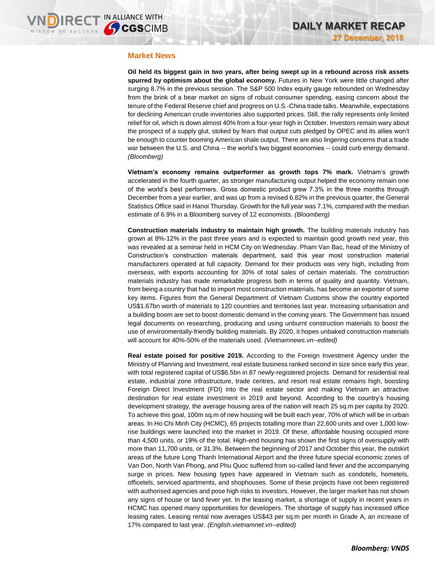### **Market News**

**Oil held its biggest gain in two years, after being swept up in a rebound across risk assets spurred by optimism about the global economy.** Futures in New York were little changed after surging 8.7% in the previous session. The S&P 500 Index equity gauge rebounded on Wednesday from the brink of a bear market on signs of robust consumer spending, easing concern about the tenure of the Federal Reserve chief and progress on U.S.-China trade talks. Meanwhile, expectations for declining American crude inventories also supported prices. Still, the rally represents only limited relief for oil, which is down almost 40% from a four-year high in October. Investors remain wary about the prospect of a supply glut, stoked by fears that output cuts pledged by OPEC and its allies won't be enough to counter booming American shale output. There are also lingering concerns that a trade war between the U.S. and China -- the world's two biggest economies -- could curb energy demand. *(Bloomberg)*

**Vietnam's economy remains outperformer as growth tops 7% mark.** Vietnam's growth accelerated in the fourth quarter, as stronger manufacturing output helped the economy remain one of the world's best performers. Gross domestic product grew 7.3% in the three months through December from a year earlier, and was up from a revised 6.82% in the previous quarter, the General Statistics Office said in Hanoi Thursday. Growth for the full year was 7.1%, compared with the median estimate of 6.9% in a Bloomberg survey of 12 economists. *(Bloomberg)* 

**Construction materials industry to maintain high growth.** The building materials industry has grown at 8%-12% in the past three years and is expected to maintain good growth next year, this was revealed at a seminar held in HCM City on Wednesday. Pham Van Bac, head of the Ministry of Construction's construction materials department, said this year most construction material manufacturers operated at full capacity. Demand for their products was very high, including from overseas, with exports accounting for 30% of total sales of certain materials. The construction materials industry has made remarkable progress both in terms of quality and quantity. Vietnam, from being a country that had to import most construction materials, has become an exporter of some key items. Figures from the General Department of Vietnam Customs show the country exported US\$1.67bn worth of materials to 120 countries and territories last year. Increasing urbanisation and a building boom are set to boost domestic demand in the coming years. The Government has issued legal documents on researching, producing and using unburnt construction materials to boost the use of environmentally-friendly building materials. By 2020, it hopes unbaked construction materials will account for 40%-50% of the materials used. *(Vietnamnews.vn--edited)*

**Real estate poised for positive 2019.** According to the Foreign Investment Agency under the Ministry of Planning and Investment, real estate business ranked second in size since early this year, with total registered capital of US\$6.5bn in 87 newly-registered projects. Demand for residential real estate, industrial zone infrastructure, trade centres, and resort real estate remains high, boosting Foreign Direct Investment (FDI) into the real estate sector and making Vietnam an attractive destination for real estate investment in 2019 and beyond. According to the country's housing development strategy, the average housing area of the nation will reach 25 sq.m per capita by 2020. To achieve this goal, 100m sq.m of new housing will be built each year, 70% of which will be in urban areas. In Ho Chi Minh City (HCMC), 65 projects totalling more than 22,600 units and over 1,000 lowrise buildings were launched into the market in 2019. Of these, affordable housing occupied more than 4,500 units, or 19% of the total. High-end housing has shown the first signs of oversupply with more than 11,700 units, or 31.3%. Between the beginning of 2017 and October this year, the outskirt areas of the future Long Thanh International Airport and the three future special economic zones of Van Don, North Van Phong, and Phu Quoc suffered from so-called land fever and the accompanying surge in prices. New housing types have appeared in Vietnam such as condotels, hometels, officetels, serviced apartments, and shophouses. Some of these projects have not been registered with authorised agencies and pose high risks to investors. However, the larger market has not shown any signs of house or land fever yet. In the leasing market, a shortage of supply in recent years in HCMC has opened many opportunities for developers. The shortage of supply has increased office leasing rates. Leasing rental now averages US\$43 per sq.m per month in Grade A, an increase of 17% compared to last year. *(English.vietnamnet.vn--edited)*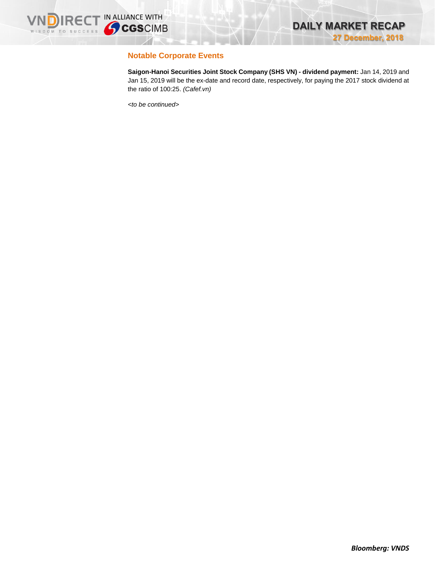

# **Notable Corporate Events**

**Saigon-Hanoi Securities Joint Stock Company (SHS VN) - dividend payment:** Jan 14, 2019 and Jan 15, 2019 will be the ex-date and record date, respectively, for paying the 2017 stock dividend at the ratio of 100:25. *(Cafef.vn)*

*<to be continued>*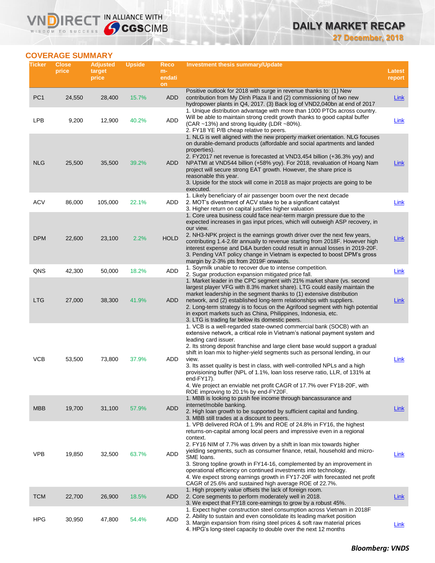# **DAILY MARKET RECAP**

**27 December, 2018**

# **COVERAGE SUMMARY**

WISDOM TO SUCCESS

VND

**IRECT IN ALLIANCE WITH** 

| Ticker          | <b>Close</b><br>price | <b>Adjusted</b><br>target<br>price | <b>Upside</b> | Reco<br>$m-$<br>endati | <b>Investment thesis summary/Update</b>                                                                                                                                                                                                                                                                                                                                                                                                                                                                                                                                                                                                           | Latest<br>report |
|-----------------|-----------------------|------------------------------------|---------------|------------------------|---------------------------------------------------------------------------------------------------------------------------------------------------------------------------------------------------------------------------------------------------------------------------------------------------------------------------------------------------------------------------------------------------------------------------------------------------------------------------------------------------------------------------------------------------------------------------------------------------------------------------------------------------|------------------|
| PC <sub>1</sub> | 24,550                | 28,400                             | 15.7%         | on<br><b>ADD</b>       | Positive outlook for 2018 with surge in revenue thanks to: (1) New<br>contribution from My Dinh Plaza II and (2) commissioning of two new                                                                                                                                                                                                                                                                                                                                                                                                                                                                                                         | <b>Link</b>      |
| LPB             | 9,200                 | 12,900                             | 40.2%         | ADD                    | hydropower plants in Q4, 2017. (3) Back log of VND2,040bn at end of 2017<br>1. Unique distribution advantage with more than 1000 PTOs across country.<br>Will be able to maintain strong credit growth thanks to good capital buffer<br>(CAR ~13%) and strong liquidity (LDR ~80%).<br>2. FY18 YE P/B cheap relative to peers.                                                                                                                                                                                                                                                                                                                    | Link             |
| <b>NLG</b>      | 25,500                | 35,500                             | 39.2%         | ADD                    | 1. NLG is well aligned with the new property market orientation. NLG focuses<br>on durable-demand products (affordable and social apartments and landed<br>properties).<br>2. FY2017 net revenue is forecasted at VND3,454 billion (+36.3% yoy) and<br>NPATMI at VND544 billion (+58% yoy). For 2018, revaluation of Hoang Nam<br>project will secure strong EAT growth. However, the share price is<br>reasonable this year.<br>3. Upside for the stock will come in 2018 as major projects are going to be<br>executed.                                                                                                                         | <b>Link</b>      |
| ACV             | 86,000                | 105,000                            | 22.1%         | ADD                    | 1. Likely beneficiary of air passenger boom over the next decade<br>2. MOT's divestment of ACV stake to be a significant catalyst<br>3. Higher return on capital justifies higher valuation                                                                                                                                                                                                                                                                                                                                                                                                                                                       | Link             |
| <b>DPM</b>      | 22,600                | 23,100                             | 2.2%          | <b>HOLD</b>            | 1. Core urea business could face near-term margin pressure due to the<br>expected increases in gas input prices, which will outweigh ASP recovery, in<br>our view.<br>2. NH3-NPK project is the earnings growth driver over the next few years,<br>contributing 1.4-2.6tr annually to revenue starting from 2018F. However high<br>interest expense and D&A burden could result in annual losses in 2019-20F.<br>3. Pending VAT policy change in Vietnam is expected to boost DPM's gross<br>margin by 2-3% pts from 2019F onwards.                                                                                                               | <b>Link</b>      |
| QNS             | 42,300                | 50,000                             | 18.2%         | <b>ADD</b>             | 1. Soymilk unable to recover due to intense competition.<br>2. Sugar production expansion mitigated price fall.                                                                                                                                                                                                                                                                                                                                                                                                                                                                                                                                   | Link             |
| <b>LTG</b>      | 27,000                | 38,300                             | 41.9%         | ADD                    | 1. Market leader in the CPC segment with 21% market share (vs. second<br>largest player VFG with 8.3% market share). LTG could easily maintain the<br>market leadership in the segment thanks to (1) extensive distribution<br>network, and (2) established long-term relationships with suppliers.<br>2. Long-term strategy is to focus on the Agrifood segment with high potential<br>in export markets such as China, Philippines, Indonesia, etc.<br>3. LTG is trading far below its domestic peers.                                                                                                                                          | <b>Link</b>      |
| <b>VCB</b>      | 53,500                | 73,800                             | 37.9%         | ADD                    | 1. VCB is a well-regarded state-owned commercial bank (SOCB) with an<br>extensive network, a critical role in Vietnam's national payment system and<br>leading card issuer.<br>2. Its strong deposit franchise and large client base would support a gradual<br>shift in loan mix to higher-yield segments such as personal lending, in our<br>view.<br>3. Its asset quality is best in class, with well-controlled NPLs and a high<br>provisioning buffer (NPL of 1.1%, loan loss reserve ratio, LLR, of 131% at<br>end-FY17).<br>4. We project an enviable net profit CAGR of 17.7% over FY18-20F, with<br>ROE improving to 20.1% by end-FY20F. | Link             |
| <b>MBB</b>      | 19,700                | 31,100                             | 57.9%         | <b>ADD</b>             | 1. MBB is looking to push fee income through bancassurance and<br>internet/mobile banking.<br>2. High loan growth to be supported by sufficient capital and funding.<br>3. MBB still trades at a discount to peers.                                                                                                                                                                                                                                                                                                                                                                                                                               | <b>Link</b>      |
| <b>VPB</b>      | 19,850                | 32,500                             | 63.7%         | ADD                    | 1. VPB delivered ROA of 1.9% and ROE of 24.8% in FY16, the highest<br>returns-on-capital among local peers and impressive even in a regional<br>context.<br>2. FY16 NIM of 7.7% was driven by a shift in loan mix towards higher<br>yielding segments, such as consumer finance, retail, household and micro-<br>SME loans.<br>3. Strong topline growth in FY14-16, complemented by an improvement in<br>operational efficiency on continued investments into technology.<br>4. We expect strong earnings growth in FY17-20F with forecasted net profit<br>CAGR of 25.6% and sustained high average ROE of 22.7%.                                 | Link             |
| <b>TCM</b>      | 22,700                | 26,900                             | 18.5%         | ADD                    | 1. High property value offsets the lack of foreign room.<br>2. Core segments to perform moderately well in 2018.<br>3. We expect that FY18 core-earnings to grow by a robust 45%.                                                                                                                                                                                                                                                                                                                                                                                                                                                                 | <b>Link</b>      |
| <b>HPG</b>      | 30,950                | 47,800                             | 54.4%         | ADD                    | 1. Expect higher construction steel consumption across Vietnam in 2018F<br>2. Ability to sustain and even consolidate its leading market position<br>3. Margin expansion from rising steel prices & soft raw material prices<br>4. HPG's long-steel capacity to double over the next 12 months                                                                                                                                                                                                                                                                                                                                                    | <b>Link</b>      |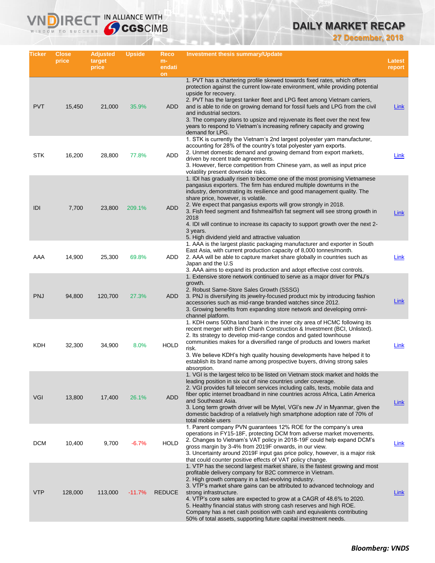# **DAILY MARKET RECAP**

**27 December, 2018**

| Ticker     | <b>Close</b><br>price | <b>Adjusted</b><br>target<br>price | <b>Upside</b> | Reco<br>$m-$<br>endati<br>on | Investment thesis summary/Update                                                                                                                                                                                                                                                                                                                                                                                                                                                                                                                                                                  | Latest<br>report |
|------------|-----------------------|------------------------------------|---------------|------------------------------|---------------------------------------------------------------------------------------------------------------------------------------------------------------------------------------------------------------------------------------------------------------------------------------------------------------------------------------------------------------------------------------------------------------------------------------------------------------------------------------------------------------------------------------------------------------------------------------------------|------------------|
| <b>PVT</b> | 15,450                | 21,000                             | 35.9%         | ADD                          | 1. PVT has a chartering profile skewed towards fixed rates, which offers<br>protection against the current low-rate environment, while providing potential<br>upside for recovery.<br>2. PVT has the largest tanker fleet and LPG fleet among Vietnam carriers,<br>and is able to ride on growing demand for fossil fuels and LPG from the civil<br>and industrial sectors.<br>3. The company plans to upsize and rejuvenate its fleet over the next few<br>years to respond to Vietnam's increasing refinery capacity and growing<br>demand for LPG.                                             | Link             |
| <b>STK</b> | 16,200                | 28,800                             | 77.8%         | <b>ADD</b>                   | 1. STK is currently the Vietnam's 2nd largest polyester yarn manufacturer,<br>accounting for 28% of the country's total polyester yarn exports.<br>2. Unmet domestic demand and growing demand from export markets,<br>driven by recent trade agreements.<br>3. However, fierce competition from Chinese yarn, as well as input price<br>volatility present downside risks.                                                                                                                                                                                                                       | Link             |
| IDI        | 7,700                 | 23,800                             | 209.1%        | <b>ADD</b>                   | 1. IDI has gradually risen to become one of the most promising Vietnamese<br>pangasius exporters. The firm has endured multiple downturns in the<br>industry, demonstrating its resilience and good management quality. The<br>share price, however, is volatile.<br>2. We expect that pangasius exports will grow strongly in 2018.<br>3. Fish feed segment and fishmeal/fish fat segment will see strong growth in<br>2018<br>4. IDI will continue to increase its capacity to support growth over the next 2-<br>3 years.<br>5. High dividend yield and attractive valuation                   | <b>Link</b>      |
| AAA        | 14,900                | 25,300                             | 69.8%         | ADD                          | 1. AAA is the largest plastic packaging manufacturer and exporter in South<br>East Asia, with current production capacity of 8,000 tonnes/month.<br>2. AAA will be able to capture market share globally in countries such as<br>Japan and the U.S<br>3. AAA aims to expand its production and adopt effective cost controls.                                                                                                                                                                                                                                                                     | Link             |
| <b>PNJ</b> | 94,800                | 120,700                            | 27.3%         | ADD                          | 1. Extensive store network continued to serve as a major driver for PNJ's<br>growth.<br>2. Robust Same-Store Sales Growth (SSSG)<br>3. PNJ is diversifying its jewelry-focused product mix by introducing fashion<br>accessories such as mid-range branded watches since 2012.<br>3. Growing benefits from expanding store network and developing omni-<br>channel platform.                                                                                                                                                                                                                      | Link             |
| KDH        | 32,300                | 34,900                             | 8.0%          | <b>HOLD</b>                  | 1. KDH owns 500ha land bank in the inner city area of HCMC following its<br>recent merger with Binh Chanh Construction & Investment (BCI, Unlisted).<br>2. Its strategy to develop mid-range condos and gated townhouse<br>communities makes for a diversified range of products and lowers market<br>risk.<br>3. We believe KDH's high quality housing developments have helped it to<br>establish its brand name among prospective buyers, driving strong sales<br>absorption.                                                                                                                  | <u>Link</u>      |
| <b>VGI</b> | 13,800                | 17,400                             | 26.1%         | <b>ADD</b>                   | 1. VGI is the largest telco to be listed on Vietnam stock market and holds the<br>leading position in six out of nine countries under coverage.<br>2. VGI provides full telecom services including calls, texts, mobile data and<br>fiber optic internet broadband in nine countries across Africa, Latin America<br>and Southeast Asia.<br>3. Long term growth driver will be Mytel, VGI's new JV in Myanmar, given the<br>domestic backdrop of a relatively high smartphone adoption rate of 70% of<br>total mobile users                                                                       | <b>Link</b>      |
| <b>DCM</b> | 10,400                | 9,700                              | $-6.7%$       | <b>HOLD</b>                  | 1. Parent company PVN guarantees 12% ROE for the company's urea<br>operations in FY15-18F, protecting DCM from adverse market movements.<br>2. Changes to Vietnam's VAT policy in 2018-19F could help expand DCM's<br>gross margin by 3-4% from 2019F onwards, in our view.<br>3. Uncertainty around 2019F input gas price policy, however, is a major risk<br>that could counter positive effects of VAT policy change.                                                                                                                                                                          | <u>Link</u>      |
| <b>VTP</b> | 128,000               | 113,000                            | $-11.7%$      | <b>REDUCE</b>                | 1. VTP has the second largest market share, is the fastest growing and most<br>profitable delivery company for B2C commerce in Vietnam.<br>2. High growth company in a fast-evolving industry.<br>3. VTP's market share gains can be attributed to advanced technology and<br>strong infrastructure.<br>4. VTP's core sales are expected to grow at a CAGR of 48.6% to 2020.<br>5. Healthy financial status with strong cash reserves and high ROE.<br>Company has a net cash position with cash and equivalents contributing<br>50% of total assets, supporting future capital investment needs. | <u>Link</u>      |

**VNDIRECT IN ALLIANCE WITH** 

WISDOM TO SUCCESS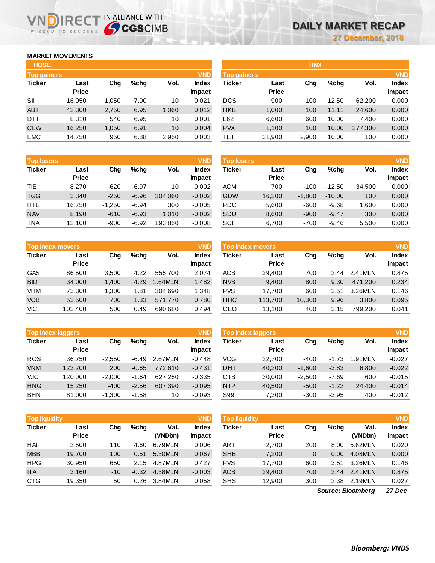### **MARKET MOVEMENTS**

WISDOM TO SUCCESS

ח

| <b>HOSE</b>        |              |       |      |       |              |
|--------------------|--------------|-------|------|-------|--------------|
| <b>Top gainers</b> |              |       |      |       | <b>VND</b>   |
| <b>Ticker</b>      | Last         | Chg   | %chq | Vol.  | <b>Index</b> |
|                    | <b>Price</b> |       |      |       | impact       |
| SII                | 16,050       | 1,050 | 7.00 | 10    | 0.021        |
| <b>ABT</b>         | 42,300       | 2,750 | 6.95 | 1,060 | 0.012        |
| DTT                | 8,310        | 540   | 6.95 | 10    | 0.001        |
| <b>CLW</b>         | 16,250       | 1,050 | 6.91 | 10    | 0.004        |
| <b>EMC</b>         | 14,750       | 950   | 6.88 | 2,950 | 0.003        |

**IRECT IN ALLIANCE WITH** 

| <b>Top losers</b> |              |          |         |         | <b>VND</b>   |
|-------------------|--------------|----------|---------|---------|--------------|
| <b>Ticker</b>     | Last         | Cha      | $%$ chq | Vol.    | <b>Index</b> |
|                   | <b>Price</b> |          |         |         | impact       |
| <b>TIE</b>        | 8.270        | $-620$   | $-6.97$ | 10      | $-0.002$     |
| <b>TGG</b>        | 3.340        | $-250$   | $-6.96$ | 304.060 | $-0.002$     |
| <b>HTL</b>        | 16,750       | $-1,250$ | $-6.94$ | 300     | $-0.005$     |
| <b>NAV</b>        | 8,190        | $-610$   | $-6.93$ | 1.010   | $-0.002$     |
| <b>TNA</b>        | 12,100       | $-900$   | $-6.92$ | 193,850 | $-0.008$     |

| <b>Top index movers</b> |              |       |      |         |              |  |  |  |  |
|-------------------------|--------------|-------|------|---------|--------------|--|--|--|--|
| <b>Ticker</b>           | Last         | Cha   | %chq | Vol.    | <b>Index</b> |  |  |  |  |
|                         | <b>Price</b> |       |      |         | impact       |  |  |  |  |
| <b>GAS</b>              | 86,500       | 3,500 | 4.22 | 555,700 | 2.074        |  |  |  |  |
| <b>BID</b>              | 34,000       | 1,400 | 4.29 | 1.64MLN | 1.482        |  |  |  |  |
| VHM                     | 73,300       | 1,300 | 1.81 | 304,690 | 1.348        |  |  |  |  |
| <b>VCB</b>              | 53,500       | 700   | 1.33 | 571,770 | 0.780        |  |  |  |  |
| VIC                     | 102,400      | 500   | 0.49 | 690,680 | 0.494        |  |  |  |  |

|               | <b>VND</b><br><b>Top index laggers</b> |          |         |         |              |  |  |  |  |  |  |
|---------------|----------------------------------------|----------|---------|---------|--------------|--|--|--|--|--|--|
| <b>Ticker</b> | Last                                   | Cha      | %chq    | Vol.    | <b>Index</b> |  |  |  |  |  |  |
|               | <b>Price</b>                           |          |         |         | impact       |  |  |  |  |  |  |
| <b>ROS</b>    | 36,750                                 | $-2,550$ | $-6.49$ | 2.67MLN | $-0.448$     |  |  |  |  |  |  |
| <b>VNM</b>    | 123,200                                | 200      | $-0.65$ | 772.610 | $-0.431$     |  |  |  |  |  |  |
| <b>VJC</b>    | 120,000                                | $-2,000$ | $-1.64$ | 627,250 | $-0.335$     |  |  |  |  |  |  |
| <b>HNG</b>    | 15.250                                 | $-400$   | $-2.56$ | 607,390 | $-0.095$     |  |  |  |  |  |  |
| <b>BHN</b>    | 81,000                                 | $-1.300$ | $-1.58$ | 10      | $-0.093$     |  |  |  |  |  |  |

| <b>VND</b><br><b>Top liquidity</b> |              |       |         |         |              |  |  |  |  |  |
|------------------------------------|--------------|-------|---------|---------|--------------|--|--|--|--|--|
| <b>Ticker</b>                      | Last         | Cha   | $%$ chq | Val.    | <b>Index</b> |  |  |  |  |  |
|                                    | <b>Price</b> |       |         | (VNDbn) | impact       |  |  |  |  |  |
| HAI                                | 2,500        | 110   | 4.60    | 6.79MLN | 0.006        |  |  |  |  |  |
| <b>MBB</b>                         | 19,700       | 100   | 0.51    | 5.30MLN | 0.067        |  |  |  |  |  |
| <b>HPG</b>                         | 30,950       | 650   | 2.15    | 4.87MLN | 0.427        |  |  |  |  |  |
| <b>ITA</b>                         | 3,160        | $-10$ | $-0.32$ | 4.38MLN | $-0.003$     |  |  |  |  |  |
| <b>CTG</b>                         | 19,350       | 50    | 0.26    | 3.84MLN | 0.058        |  |  |  |  |  |

| <b>HOSE</b>        |              |       |         |       |              |                    |              | <b>HNX</b> |         |         |              |
|--------------------|--------------|-------|---------|-------|--------------|--------------------|--------------|------------|---------|---------|--------------|
| <b>Top gainers</b> |              |       |         |       | <b>VND</b>   | <b>Top gainers</b> |              |            |         |         | <b>VND</b>   |
| Ticker             | Last         | Chg   | $%$ chq | Vol.  | <b>Index</b> | Ticker             | Last         | Chg        | $%$ chq | Vol.    | <b>Index</b> |
|                    | <b>Price</b> |       |         |       | impact       |                    | <b>Price</b> |            |         |         | impact       |
| SII                | 16,050       | 1,050 | 7.00    | 10    | 0.021        | <b>DCS</b>         | 900          | 100        | 12.50   | 62,200  | 0.000        |
| <b>ABT</b>         | 42,300       | 2,750 | 6.95    | 1,060 | 0.012        | <b>HKB</b>         | 1,000        | 100        | 11.11   | 24,600  | 0.000        |
| DTT                | 8,310        | 540   | 6.95    | 10    | 0.001        | L62                | 6,600        | 600        | 10.00   | 7,400   | 0.000        |
| <b>CLW</b>         | 16,250       | 1,050 | 6.91    | 10    | 0.004        | <b>PVX</b>         | 1,100        | 100        | 10.00   | 277,300 | 0.000        |
| <b>EMC</b>         | 14,750       | 950   | 6.88    | 2,950 | 0.003        | TET                | 31,900       | 2,900      | 10.00   | 100     | 0.000        |
|                    |              |       |         |       |              |                    |              |            |         |         |              |

| <b>Top losers</b> |              |          |         |         | <b>VND</b>   | <b>Top losers</b> |              |          |          |        | <b>VND</b>   |
|-------------------|--------------|----------|---------|---------|--------------|-------------------|--------------|----------|----------|--------|--------------|
| Ticker            | Last         | Chg      | $%$ chq | Vol.    | <b>Index</b> | Ticker            | Last         | Chg      | $%$ chq  | Vol.   | <b>Index</b> |
|                   | <b>Price</b> |          |         |         | impact       |                   | <b>Price</b> |          |          |        | impact       |
| TIE               | 8.270        | $-620$   | $-6.97$ | 10      | $-0.002$     | ACM               | 700          | $-100$   | $-12.50$ | 34,500 | 0.000        |
| TGG               | 3,340        | $-250$   | $-6.96$ | 304.060 | $-0.002$     | <b>GDW</b>        | 16,200       | $-1,800$ | $-10.00$ | 100    | 0.000        |
| HTL               | 16,750       | $-1.250$ | $-6.94$ | 300     | $-0.005$     | <b>PDC</b>        | 5,600        | $-600$   | $-9.68$  | 1.600  | 0.000        |
| <b>NAV</b>        | 8,190        | $-610$   | $-6.93$ | 1,010   | $-0.002$     | SDU               | 8,600        | $-900$   | $-9.47$  | 300    | 0.000        |
| TNA               | 12.100       | $-900$   | $-6.92$ | 193.850 | $-0.008$     | SCI               | 6,700        | $-700$   | $-9.46$  | 5,500  | 0.000        |

| Top index movers |              |       |      |         | <b>VND</b>   | Top index movers |              |        |         |         |              |
|------------------|--------------|-------|------|---------|--------------|------------------|--------------|--------|---------|---------|--------------|
| Ticker           | Last         | Chg   | %chq | Vol.    | <b>Index</b> | Ticker           | Last         | Chg    | $%$ chq | Vol.    | <b>Index</b> |
|                  | <b>Price</b> |       |      |         | impact       |                  | <b>Price</b> |        |         |         | impact       |
| GAS              | 86.500       | 3.500 | 4.22 | 555.700 | 2.074        | <b>ACB</b>       | 29.400       | 700    | 2.44    | 2.41MLN | 0.875        |
| <b>BID</b>       | 34,000       | 1,400 | 4.29 | .64MLN  | 1.482        | <b>NVB</b>       | 9,400        | 800    | 9.30    | 471,200 | 0.234        |
| VHM              | 73.300       | 1.300 | 1.81 | 304.690 | 1.348        | <b>PVS</b>       | 17.700       | 600    | 3.51    | 3.26MLN | 0.146        |
| <b>VCB</b>       | 53,500       | 700   | 1.33 | 571.770 | 0.780        | <b>HHC</b>       | 113,700      | 10,300 | 9.96    | 3,800   | 0.095        |
| VIC              | 102.400      | 500   | 0.49 | 690,680 | 0.494        | CEO              | 13,100       | 400    | 3.15    | 799.200 | 0.041        |

|            | <b>VND</b><br><b>Top index laggers</b> |          |         |         |                        |            | Top index laggers    |          |         |        |                        |  |  |
|------------|----------------------------------------|----------|---------|---------|------------------------|------------|----------------------|----------|---------|--------|------------------------|--|--|
| Ticker     | Last<br><b>Price</b>                   | Chg      | %chq    | Vol.    | <b>Index</b><br>impact | Ticker     | Last<br><b>Price</b> | Chg      | $%$ chq | Vol.   | <b>Index</b><br>impact |  |  |
| <b>ROS</b> | 36.750                                 | $-2.550$ | $-6.49$ | 2.67MLN | $-0.448$               | <b>VCG</b> | 22.700               | -400     | $-1.73$ | .91MLN | $-0.027$               |  |  |
| <b>VNM</b> | 123,200                                | 200      | $-0.65$ | 772.610 | $-0.431$               | <b>DHT</b> | 40,200               | $-1.600$ | $-3.83$ | 6,800  | $-0.022$               |  |  |
| <b>VJC</b> | 120,000                                | $-2.000$ | $-1.64$ | 627.250 | $-0.335$               | <b>CTB</b> | 30,000               | $-2.500$ | $-7.69$ | 600    | $-0.015$               |  |  |
| <b>HNG</b> | 15,250                                 | $-400$   | $-2.56$ | 607.390 | $-0.095$               | <b>NTP</b> | 40,500               | $-500$   | $-1.22$ | 24,400 | $-0.014$               |  |  |
| <b>BHN</b> | 81,000                                 | $-1,300$ | $-1.58$ | 10      | $-0.093$               | S99        | 7,300                | $-300$   | $-3.95$ | 400    | $-0.012$               |  |  |
|            |                                        |          |         |         |                        |            |                      |          |         |        |                        |  |  |

| <b>Top liquidity</b> |              |       |         |         | <b>VND</b>   | <b>Top liquidity</b> |              |     |         |                   | <b>VND</b>   |
|----------------------|--------------|-------|---------|---------|--------------|----------------------|--------------|-----|---------|-------------------|--------------|
| Ticker               | Last         | Chg   | $%$ chq | Val.    | <b>Index</b> | Ticker               | Last         | Chg | $%$ chq | Val.              | <b>Index</b> |
|                      | <b>Price</b> |       |         | (VNDbn) | impact       |                      | <b>Price</b> |     |         | (VNDbn)           | impact       |
| HAI                  | 2,500        | 110   | 4.60    | 6.79MLN | 0.006        | ART                  | 2,700        | 200 | 8.00    | 5.62MLN           | 0.020        |
| <b>MBB</b>           | 19.700       | 100   | 0.51    | 5.30MLN | 0.067        | <b>SHB</b>           | 7,200        | 0   | 0.00    | 4.08MLN           | 0.000        |
| HPG                  | 30,950       | 650   | 2.15    | 4.87MLN | 0.427        | <b>PVS</b>           | 17.700       | 600 | 3.51    | 3.26MLN           | 0.146        |
| <b>ITA</b>           | 3,160        | $-10$ | $-0.32$ | 4.38MLN | $-0.003$     | <b>ACB</b>           | 29,400       | 700 | 2.44    | 2.41MLN           | 0.875        |
| CTG                  | 19,350       | 50    | 0.26    | 3.84MLN | 0.058        | <b>SHS</b>           | 12,900       | 300 | 2.38    | 2.19MLN           | 0.027        |
|                      |              |       |         |         |              |                      |              |     |         | Source: Bloomberg | 27 Dec       |

*27 Dec Source: Bloomberg*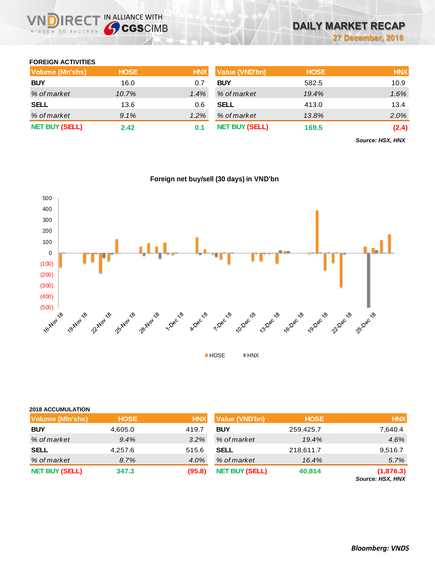### **FOREIGN ACTIVITIES**

WISDOM TO SUCCESS

**VNDIRECT IN ALLIANCE WITH** 

| Volume (Mn'shs)       | <b>HOSE</b> | <b>HNX</b> | <b>Value (VND'bn)</b> | <b>HOSE</b> | <b>HNX</b> |
|-----------------------|-------------|------------|-----------------------|-------------|------------|
| <b>BUY</b>            | 16.0        | 0.7        | <b>BUY</b>            | 582.5       | 10.9       |
| % of market           | 10.7%       | $1.4\%$    | % of market           | 19.4%       | 1.6%       |
| <b>SELL</b>           | 13.6        | 0.6        | <b>SELL</b>           | 413.0       | 13.4       |
| % of market           | 9.1%        | $1.2\%$    | % of market           | 13.8%       | 2.0%       |
| <b>NET BUY (SELL)</b> | 2.42        | 0.1        | <b>NET BUY (SELL)</b> | 169.5       | (2.4)      |

*Source: HSX, HNX*



## **Foreign net buy/sell (30 days) in VND'bn**

# **2018 ACCUMULATION Volume (Mln'shs) HOSE HNX Value (VND'bn) HOSE HNX BUY** 4,605.0 419.7 **BUY** 259,425.7 7,640.4 *% of market 9.4% 3.2% % of market 19.4% 4.6%* **SELL** 4,257.6 515.6 **SELL** 218,611.7 9,516.7 *% of market 8.7% 4.0% % of market 16.4% 5.7%* **NET BUY (SELL) 347.3 (95.8) NET BUY(SELL) 40,814 (1,876.3)**

*Source: HSX, HNX*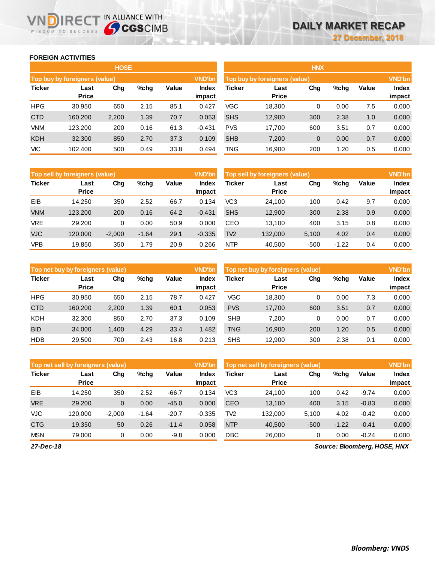### **FOREIGN ACTIVITIES**

WISDOM TO SUCCESS

n

**REC** 

|               |                               | <b>HOSE</b> |      |       |                 | <b>HNX</b>    |                                      |              |      |       |                 |  |  |
|---------------|-------------------------------|-------------|------|-------|-----------------|---------------|--------------------------------------|--------------|------|-------|-----------------|--|--|
|               | Top buy by foreigners (value) |             |      |       | <b>VND'bn</b>   |               | <b>Top buy by foreigners (value)</b> |              |      |       | <b>VND'bn</b>   |  |  |
| <b>Ticker</b> | Last<br><b>Price</b>          | Chg         | %chg | Value | Index<br>impact | <b>Ticker</b> | Last<br><b>Price</b>                 | Chg          | %chg | Value | Index<br>impact |  |  |
| <b>HPG</b>    | 30,950                        | 650         | 2.15 | 85.1  | 0.427           | <b>VGC</b>    | 18.300                               | 0            | 0.00 | 7.5   | 0.000           |  |  |
| <b>CTD</b>    | 160,200                       | 2,200       | 1.39 | 70.7  | 0.053           | <b>SHS</b>    | 12,900                               | 300          | 2.38 | 1.0   | 0.000           |  |  |
| <b>VNM</b>    | 123.200                       | 200         | 0.16 | 61.3  | $-0.431$        | <b>PVS</b>    | 17.700                               | 600          | 3.51 | 0.7   | 0.000           |  |  |
| <b>KDH</b>    | 32,300                        | 850         | 2.70 | 37.3  | 0.109           | <b>SHB</b>    | 7,200                                | $\mathbf{0}$ | 0.00 | 0.7   | 0.000           |  |  |
| VIС           | 102.400                       | 500         | 0.49 | 33.8  | 0.494           | <b>TNG</b>    | 16,900                               | 200          | 1.20 | 0.5   | 0.000           |  |  |

IN ALLIANCE WITH

|               | HNX                           |          |         |       |               |  |  |  |  |  |  |  |  |
|---------------|-------------------------------|----------|---------|-------|---------------|--|--|--|--|--|--|--|--|
|               | Top buy by foreigners (value) |          |         |       | <b>VND'bn</b> |  |  |  |  |  |  |  |  |
| <b>Ticker</b> | Last                          | Chg      | $%$ chg | Value | <b>Index</b>  |  |  |  |  |  |  |  |  |
|               | <b>Price</b>                  |          |         |       | impact        |  |  |  |  |  |  |  |  |
| VGC           | 18,300                        | 0        | 0.00    | 7.5   | 0.000         |  |  |  |  |  |  |  |  |
| <b>SHS</b>    | 12,900                        | 300      | 2.38    | 1.0   | 0.000         |  |  |  |  |  |  |  |  |
| <b>PVS</b>    | 17,700                        | 600      | 3.51    | 0.7   | 0.000         |  |  |  |  |  |  |  |  |
| <b>SHB</b>    | 7,200                         | $\Omega$ | 0.00    | 0.7   | 0.000         |  |  |  |  |  |  |  |  |
| <b>TNG</b>    | 16,900                        | 200      | 1.20    | 0.5   | 0.000         |  |  |  |  |  |  |  |  |

|               | Top sell by foreigners (value) |          |         |       | <b>VND'bn</b>   | Top sell by foreigners (value) |                      |        |         |       |                        |
|---------------|--------------------------------|----------|---------|-------|-----------------|--------------------------------|----------------------|--------|---------|-------|------------------------|
| <b>Ticker</b> | Last<br><b>Price</b>           | Chg      | %chg    | Value | Index<br>impact | Ticker                         | Last<br><b>Price</b> | Chg    | %chg    | Value | <b>Index</b><br>impact |
| EIB           | 14.250                         | 350      | 2.52    | 66.7  | 0.134           | VC3                            | 24.100               | 100    | 0.42    | 9.7   | 0.000                  |
| <b>VNM</b>    | 123,200                        | 200      | 0.16    | 64.2  | $-0.431$        | <b>SHS</b>                     | 12,900               | 300    | 2.38    | 0.9   | 0.000                  |
| <b>VRE</b>    | 29,200                         | 0        | 0.00    | 50.9  | 0.000           | CEO                            | 13.100               | 400    | 3.15    | 0.8   | 0.000                  |
| <b>VJC</b>    | 120,000                        | $-2,000$ | $-1.64$ | 29.1  | $-0.335$        | TV <sub>2</sub>                | 132,000              | 5,100  | 4.02    | 0.4   | 0.000                  |
| VPB           | 19.850                         | 350      | 1.79    | 20.9  | 0.266           | <b>NTP</b>                     | 40,500               | $-500$ | $-1.22$ | 0.4   | 0.000                  |

|               | <b>VND'bn</b><br>Top net buy by foreigners (value) |       |         |       |                 |            | Top net buy by foreigners (value) |     |      |       |                 |  |
|---------------|----------------------------------------------------|-------|---------|-------|-----------------|------------|-----------------------------------|-----|------|-------|-----------------|--|
| <b>Ticker</b> | Last<br><b>Price</b>                               | Chg   | $%$ chg | Value | Index<br>impact | Ticker     | Last<br><b>Price</b>              | Chg | %chg | Value | Index<br>impact |  |
| <b>HPG</b>    | 30.950                                             | 650   | 2.15    | 78.7  | 0.427           | <b>VGC</b> | 18.300                            | 0   | 0.00 | 7.3   | 0.000           |  |
| <b>CTD</b>    | 160.200                                            | 2,200 | 1.39    | 60.1  | 0.053           | <b>PVS</b> | 17,700                            | 600 | 3.51 | 0.7   | 0.000           |  |
| <b>KDH</b>    | 32,300                                             | 850   | 2.70    | 37.3  | 0.109           | <b>SHB</b> | 7.200                             | 0   | 0.00 | 0.7   | 0.000           |  |
| <b>BID</b>    | 34,000                                             | 1,400 | 4.29    | 33.4  | 1.482           | <b>TNG</b> | 16,900                            | 200 | 1.20 | 0.5   | 0.000           |  |
| <b>HDB</b>    | 29,500                                             | 700   | 2.43    | 16.8  | 0.213           | <b>SHS</b> | 12.900                            | 300 | 2.38 | 0.1   | 0.000           |  |

|               | Top net sell by foreigners (value) |          |         |         | <b>VND'bn</b>   | <b>VND'bn</b><br>Top net sell by foreigners (value) |                      |        |         |         |                        |  |
|---------------|------------------------------------|----------|---------|---------|-----------------|-----------------------------------------------------|----------------------|--------|---------|---------|------------------------|--|
| <b>Ticker</b> | Last<br><b>Price</b>               | Chg      | $%$ chg | Value   | Index<br>impact | Ticker                                              | Last<br><b>Price</b> | Chg    | %chg    | Value   | <b>Index</b><br>impact |  |
| EIB           | 14.250                             | 350      | 2.52    | $-66.7$ | 0.134           | VC3                                                 | 24.100               | 100    | 0.42    | $-9.74$ | 0.000                  |  |
| <b>VRE</b>    | 29,200                             | 0        | 0.00    | $-45.0$ | 0.000           | <b>CEO</b>                                          | 13,100               | 400    | 3.15    | $-0.83$ | 0.000                  |  |
| <b>VJC</b>    | 120.000                            | $-2.000$ | $-1.64$ | $-20.7$ | $-0.335$        | TV2                                                 | 132.000              | 5,100  | 4.02    | $-0.42$ | 0.000                  |  |
| <b>CTG</b>    | 19,350                             | 50       | 0.26    | $-11.4$ | 0.058           | <b>NTP</b>                                          | 40.500               | $-500$ | $-1.22$ | $-0.41$ | 0.000                  |  |
| <b>MSN</b>    | 79,000                             | 0        | 0.00    | $-9.8$  | 0.000           | <b>DBC</b>                                          | 26,000               | 0      | 0.00    | $-0.24$ | 0.000                  |  |

*Source: Bloomberg, HOSE, HNX*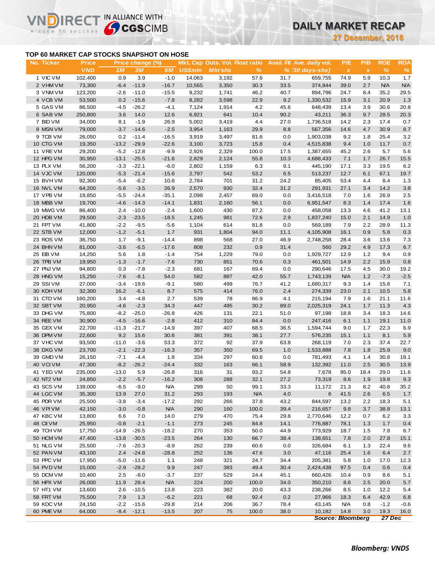# **DAILY MARKET RECAP**

**27 December, 2018**

### **TOP 60 MARKET CAP STOCKS SNAPSHOT ON HOSE**

IR<sub>E</sub>

IN ALLIANCE WITH

|                                           |                            |                   |                        |                |                |                                                          |              |            |                                                 | 27 December, 2018     |                     |                    |                    |
|-------------------------------------------|----------------------------|-------------------|------------------------|----------------|----------------|----------------------------------------------------------|--------------|------------|-------------------------------------------------|-----------------------|---------------------|--------------------|--------------------|
| TOP 60 MARKET CAP STOCKS SNAPSHOT ON HOSE |                            |                   |                        |                |                |                                                          |              |            |                                                 |                       |                     |                    |                    |
| No. Ticker                                | <b>Price</b><br><b>VND</b> | 1M                | Price change (%)<br>3M | 6M             | <b>US\$mln</b> | <b>Mkt. Cap Outs. Vol. Float ratio</b><br><b>MIn'shs</b> | %            |            | Avail. Fil Ave. daily vol.<br>$% (30 days-shs)$ | P/E<br>$\pmb{\times}$ | P/B<br>$\pmb{\chi}$ | <b>ROE</b><br>$\%$ | <b>ROA</b><br>$\%$ |
| 1 VIC VM                                  | 102,400                    | 0.9               | 3.9                    | $-1.0$         | 14,063         | 3,192                                                    | 57.6         | 31.7       | 659,755                                         | 74.9                  | 5.9                 | 10.3               | 1.7                |
| 2 VHM VM                                  | 73,300                     | $-6.4$            | $-11.9$                | $-16.7$        | 10,565         | 3,350                                                    | 30.3         | 33.5       | 374,844                                         | 39.0                  | 2.7                 | <b>N/A</b>         | N/A                |
| 3 VNM VM                                  | 123,200                    | $-2.6$            | $-11.0$                | $-15.5$        | 9,232          | 1,741                                                    | 46.2         | 40.7       | 894,796                                         | 24.7                  | 8.4                 | 35.2               | 29.5               |
| 4 VCB VM                                  | 53,500                     | 0.2               | $-15.6$                | $-7.8$         | 8,282          | 3,598                                                    | 22.9         | 9.2        | 1,330,532                                       | 15.9                  | 3.1                 | 20.9               | 1.3                |
| 5 GAS VM                                  | 86,500                     | $-4.5$            | $-26.2$                | $-4.1$         | 7,124          | 1,914                                                    | 4.2          | 45.6       | 648,439                                         | 13.4                  | 3.9                 | 30.6               | 20.8               |
| 6 SAB VM                                  | 250,800                    | 3.6               | 14.0                   | 12.6           | 6,921          | 641                                                      | 10.4         | 90.2       | 43,211                                          | 36.3                  | 9.7                 | 28.5               | 20.3               |
| 7 BID VM                                  | 34,000                     | 8.1               | $-1.9$                 | 26.9           | 5,002          | 3,419                                                    | 4.4          | 27.0       | 1,736,518                                       | 14.2                  | 2.3                 | 17.4               | 0.7                |
| 8 MSN VM                                  | 79,000                     | $-3.7$            | $-14.6$                | $-2.5$         | 3,954          | 1,163                                                    | 29.9         | 8.8        | 567,356                                         | 14.6                  | 4.7                 | 30.9               | 8.7                |
| 9 TCB VM                                  | 26,050                     | 0.2               | $-11.4$                | $-16.5$        | 3,919          | 3,497                                                    | 81.6         | 0.0        | 1,903,038                                       | 9.2                   | 1.8                 | 25.4               | 3.2                |
| 10 CTG VM                                 | 19,350                     | $-13.2$           | $-29.9$                | $-22.6$        | 3,100          | 3,723                                                    | 15.8         | 0.4        | 4,515,838                                       | 9.4                   | 1.0                 | 11.7               | 0.7                |
| 11 VREVM                                  | 29,200                     | $-5.2$            | $-12.8$                | $-9.9$         | 2,926          | 2,329                                                    | 100.0        | 17.5       | 1,387,655                                       | 45.2                  | 2.6                 | 5.7                | 5.6                |
| 12 HPG VM                                 | 30,950                     | $-13.1$           | $-25.5$                | $-21.6$        | 2,829          | 2,124                                                    | 55.8         | 10.3       | 4,688,433                                       | 7.1                   | 1.7                 | 26.7               | 15.5               |
| 13 PLX VM                                 | 56,200                     | $-3.3$            | $-22.1$                | $-6.0$         | 2,802          | 1,159                                                    | 6.3          | 9.1        | 445,190                                         | 17.1                  | 3.3                 | 19.5               | 6.2                |
| 14 VJC VM                                 | 120,000                    | $-5.3$            | $-21.4$                | $-15.6$        | 2,797          | 542                                                      | 53.2         | 6.5        | 513,237                                         | 12.7                  | 6.1                 | 67.1               | 19.7               |
| 15 BVHVM                                  | 92,300                     | $-5.4$            | $-6.2$                 | 10.8           | 2,784          | 701                                                      | 31.2         | 24.2       | 85,405                                          | 53.4                  | 4.4                 | 8.4                | 1.3                |
| 16 NVL VM                                 | 64,200                     | $-5.6$            | $-3.5$                 | 26.9           | 2,570          | 930                                                      | 32.4         | 31.2       | 291,931                                         | 27.1                  | 3.4                 | 14.2               | 3.8                |
| 17 VPB VM                                 | 19,850                     | $-5.5$            | $-24.4$                | $-35.1$        | 2,098          | 2,457                                                    | 69.0         | 0.0        | 3,416,518                                       | 7.0                   | 1.6                 | 26.9               | 2.5                |
| 18 MBB VM                                 | 19,700                     | $-4.6$            | $-14.3$                | $-14.1$        | 1,831          | 2,160                                                    | 56.1         | 0.0        | 6,951,547                                       | 8.3                   | 1.4                 | 17.4               | 1.6                |
| 19 MWG VM                                 | 86,400                     | 2.4               | $-10.0$                | $-2.4$         | 1,600          | 430                                                      | 87.2         | 0.0        | 458,058                                         | 13.3                  | 4.6                 | 41.2               | 13.1               |
| 20 HDB VM                                 | 29,500                     | $-2.3$            | $-23.5$                | $-18.5$        | 1,245          | 981                                                      | 72.6         | 2.9        | 1,837,240                                       | 15.0                  | 2.1                 | 14.9               | 1.0                |
| 21 FPT VM                                 | 41,800                     | $-2.2$            | $-9.5$                 | $-5.6$         | 1,104          | 614                                                      | 81.8         | 0.0        | 569,189                                         | 7.9                   | 2.2                 | 28.9               | 11.3               |
| 22 STB VM                                 | 12,000                     | $-1.2$            | $-5.1$                 | 1.7            | 931            | 1,804                                                    | 94.0         | 11.1       | 4,105,908                                       | 16.1                  | 0.9                 | 5.8                | 0.3                |
| 23 ROS VM                                 | 36,750                     | 1.7               | $-9.1$                 | $-14.4$        | 898            | 568                                                      | 27.0         | 46.9       | 2,748,258                                       | 28.4                  | 3.6                 | 13.6               | 7.3                |
| 24 BHN VM                                 | 81,000                     | $-3.6$            | $-6.5$                 | $-17.6$        | 808            | 232                                                      | 0.9          | 31.4       | 560                                             | 29.2                  | 4.9                 | 17.3               | 6.7                |
| 25 EIB VM                                 | 14,250                     | 5.6               | 1.8                    | $-1.4$         | 754            | 1,229                                                    | 79.0         | 0.0        | 1,929,727                                       | 12.9                  | 1.2                 | 9.4                | 0.9                |
| 26 TPB VM                                 | 19,950                     | $-1.3$            | $-1.7$                 | $-7.6$         | 730            | 851                                                      | 70.6         | 0.3        | 461,501                                         | 14.9                  | 2.2                 | 15.9               | 0.8                |
| 27 PNJ VM                                 | 94,800                     | 0.3               | $-7.8$                 | $-2.3$         | 681            | 167                                                      | 69.4         | 0.0        | 290,646                                         | 17.5                  | 4.5                 | 30.0               | 19.2               |
| 28 HNG VM                                 | 15,250                     | $-7.6$            | $-8.1$                 | 54.0           | 582            | 887                                                      | 42.0         | 55.7       | 1,743,139                                       | <b>N/A</b>            | 1.2                 | $-7.3$             | $-2.5$             |
| 29 SSIVM                                  | 27,000                     | $-3.4$            | $-19.6$                | $-9.1$         | 580            | 499                                                      | 76.7         | 41.2       | 1,680,317                                       | 9.3                   | 1.4                 | 15.8               | 7.1                |
| 30 KDH VM                                 | 32,300                     | 16.2              | $-6.1$                 | 8.7            | 575            | 414                                                      | 76.0         | 2.4        | 274,339                                         | 23.0                  | 2.1                 | 10.5               | 5.8                |
| 31 CTD VM                                 | 160,200                    | 3.4               | $-4.8$                 | 2.7            | 539            | 78                                                       | 86.9         | 4.1        | 215,194                                         | 7.9                   | 1.6                 | 21.1               | 11.6               |
| 32 SBT VM                                 | 20,950                     | $-4.6$            | $-2.3$                 | 34.3           | 447            | 495                                                      | 30.2         | 89.0       | 2,025,319                                       | 24.1                  | 1.7                 | 11.3               | 4.3                |
| 33 DHG VM                                 | 75,800                     | $-8.2$            | $-25.0$                | $-26.8$        | 426            | 131                                                      | 22.1         | 51.0       | 97,198                                          | 18.8                  | 3.4                 | 18.3               | 14.6               |
| 34 REE VM                                 | 30,900                     | $-4.5$            | $-16.6$                | $-2.8$         | 412            | 310                                                      | 84.4         | 0.0        | 247,416                                         | 6.1                   | 1.1                 | 19.1               | 11.0               |
| 35 GEX VM                                 | 22,700                     | $-11.3$           | $-21.7$                | $-14.9$        | 397            | 407                                                      | 68.5         | 36.5       | 1,594,744                                       | 9.0                   | 1.7                 | 22.3               | 6.9                |
| 36 DPM VM<br>37 VHC VM                    | 22,600<br>93,500           | 9.2               | 15.6                   | 30.6           | 381            | 391<br>92                                                | 38.1         | 27.7       | 576,235                                         | 15.1                  | 1.1                 | 8.1                | 5.9                |
| 38 DXG VM                                 | 23,700                     | $-11.0$<br>$-2.1$ | $-3.6$<br>$-22.3$      | 53.3           | 372<br>357     | 350                                                      | 37.9<br>69.5 | 63.8       | 268,119<br>1,533,888                            | 7.0<br>7.8            | 2.3<br>1.8          | 37.4<br>25.9       | 22.7<br>9.0        |
| 39 GMD VM                                 | 26,150                     | $-7.1$            | $-4.4$                 | $-16.3$<br>1.8 | 334            | 297                                                      | 60.8         | 1.0<br>0.0 | 781,493                                         | 4.1                   | 1.4                 | 30.8               | 18.1               |
| 40 VCIVM                                  | 47,300                     | $-8.2$            | $-26.2$                | $-24.4$        | 332            | 163                                                      | 66.1         | 58.9       | 132,392                                         | 11.0                  | 2.5                 | 30.5               | 13.9               |
| 41 YEG VM                                 | 235,000                    | $-13.0$           | 5.9                    | $-26.8$        | 316            | 31                                                       | 93.2         | 54.8       | 7,678                                           | 95.0                  | 18.4                | 29.0               | 11.6               |
| 42 NT2 VM                                 | 24,850                     | $-2.2$            | $-5.7$                 | $-16.2$        | 308            | 288                                                      | 32.1         | 27.2       | 73,319                                          | 8.6                   | 1.9                 | 19.8               | 9.3                |
| 43 SCS VM                                 | 139,000                    | $-6.5$            | $-9.0$                 | <b>N/A</b>     | 299            | 50                                                       | 99.1         | 33.3       | 11,172                                          | 21.3                  | 8.2                 | 40.8               | 35.2               |
| 44 LGC VM                                 | 35,300                     | 13.9              | 27.0                   | 31.2           | 293            | 193                                                      | <b>N/A</b>   | 4.0        | 6                                               | 41.5                  | 2.6                 | 6.5                | 1.7                |
| 45 PDR VM                                 | 25,500                     | $-3.8$            | $-3.4$                 | $-17.2$        | 292            | 266                                                      | 37.8         | 43.2       | 844,597                                         | 13.2                  | 2.2                 | 18.3               | 5.1                |
| 46 VPIVM                                  | 42,150                     | $-3.0$            | $-0.8$                 | <b>N/A</b>     | 290            | 160                                                      | 100.0        | 39.4       | 216,657                                         | 9.8                   | 3.7                 | 38.8               | 13.1               |
| 47 KBC VM                                 | 13,800                     | 6.6               | 7.0                    | 14.0           | 279            | 470                                                      | 75.4         | 29.8       | 2,770,646                                       | 12.2                  | 0.7                 | 6.2                | 3.3                |
| 48 CII VM                                 | 25,950                     | $-0.8$            | $-2.1$                 | $-1.1$         | 273            | 245                                                      | 84.8         | 14.1       | 776,887                                         | 78.1                  | 1.3                 | 1.7                | $0.4\,$            |
| 49 TCH VM                                 | 17,750                     | $-14.9$           | $-26.5$                | $-18.2$        | 270            | 353                                                      | 50.0         | 44.9       | 773,929                                         | 18.7                  | 1.5                 | 7.8                | 6.7                |
| 50 HCM VM                                 | 47,400                     | $-13.8$           | $-30.5$                | $-23.5$        | 264            | 130                                                      | 66.7         | 38.4       | 138,651                                         | 7.8                   | 2.0                 | 27.8               | 15.1               |
| 51 NLG VM                                 | 25,500                     | $-7.6$            | $-20.3$                | $-8.9$         | 262            | 239                                                      | 60.6         | 0.0        | 326,684                                         | 6.1                   | 1.3                 | 22.4               | 9.6                |
| 52 PAN VM                                 | 43,100                     | 2.4               | $-24.8$                | $-28.8$        | 252            | 136                                                      | 47.6         | 3.0        | 47,116                                          | 25.4                  | 1.6                 | 6.4                | 2.7                |
| 53 PPC VM                                 | 17,950                     | $-5.0$            | $-11.6$                | 1.1            | 248            | 321                                                      | 24.7         | 34.4       | 205,381                                         | 5.8                   | 1.0                 | 17.0               | 12.3               |
| 54 PVD VM                                 | 15,000                     | $-2.9$            | $-28.2$                | 9.9            | 247            | 383                                                      | 49.4         | 30.4       | 2,424,438                                       | 97.5                  | 0.4                 | 0.6                | 0.4                |
| 55 DCM VM                                 | 10,400                     | 2.5               | $-8.0$                 | $-3.7$         | 237            | 529                                                      | 24.4         | 45.1       | 660,426                                         | 10.4                  | 0.9                 | 8.6                | 5.1                |
| 56 HPX VM                                 | 26,000                     | 11.9              | 28.4                   | N/A            | 224            | 200                                                      | 100.0        | 34.0       | 350,210                                         | 8.6                   | 2.5                 | 20.0               | 5.7                |
| 57 HT1 VM                                 | 13,600                     | 2.6               | $-10.5$                | 13.8           | 223            | 382                                                      | 20.0         | 43.3       | 238,266                                         | 8.5                   | 1.0                 | 12.2               | 5.4                |
| 58 FRT VM                                 | 75,500                     | 7.9               | 1.3                    | $-6.2$         | 221            | 68                                                       | 92.4         | 0.2        | 27,966                                          | 18.3                  | 6.4                 | 42.9               | 6.8                |
| 59 KDC VM                                 | 24,150                     | $-2.2$            | $-15.6$                | $-29.8$        | 214            | 206                                                      | 36.7         | 78.4       | 43,145                                          | <b>N/A</b>            | 0.8                 | $-1.2$             | $-0.6$             |
| 60 PME VM                                 | 64,000                     | $-8.4$            | $-12.1$                | $-13.5$        | 207            | 75                                                       | 100.0        | 38.0       | 10,182                                          | 14.8                  | 3.0                 | 19.3               | 16.0               |
|                                           |                            |                   |                        |                |                |                                                          |              |            | <b>Source: Bloomberg</b>                        |                       |                     | 27 Dec             |                    |